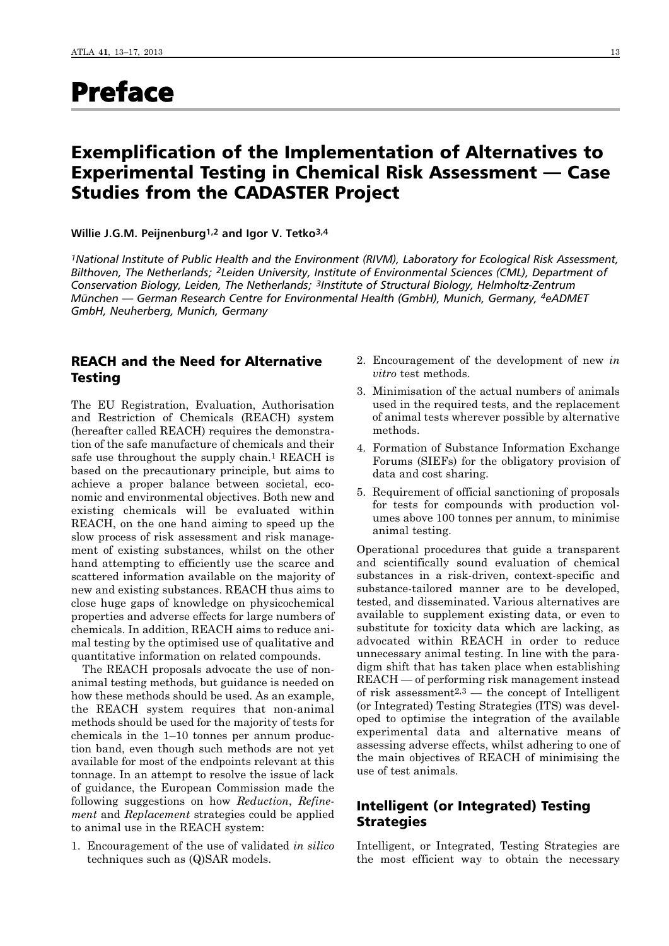# Preface

# Exemplification of the Implementation of Alternatives to Experimental Testing in Chemical Risk Assessment — Case Studies from the CADASTER Project

**Willie J.G.M. Peijnenburg1,2 and Igor V. Tetko3,4**

*1National Institute of Public Health and the Environment (RIVM), Laboratory for Ecological Risk Assessment, Bilthoven, The Netherlands; 2Leiden University, Institute of Environmental Sciences (CML), Department of Conservation Biology, Leiden, The Netherlands; 3Institute of Structural Biology, Helmholtz-Zentrum München — German Research Centre for Environmental Health (GmbH), Munich, Germany, 4eADMET GmbH, Neuherberg, Munich, Germany*

# REACH and the Need for Alternative Testing

The EU Registration, Evaluation, Authorisation and Restriction of Chemicals (REACH) system (hereafter called REACH) requires the demonstration of the safe manufacture of chemicals and their safe use throughout the supply chain.<sup>1</sup> REACH is based on the precautionary principle, but aims to achieve a proper balance between societal, economic and environmental objectives. Both new and existing chemicals will be evaluated within REACH, on the one hand aiming to speed up the slow process of risk assessment and risk management of existing substances, whilst on the other hand attempting to efficiently use the scarce and scattered information available on the majority of new and existing substances. REACH thus aims to close huge gaps of knowledge on physicochemical properties and adverse effects for large numbers of chemicals. In addition, REACH aims to reduce animal testing by the optimised use of qualitative and quantitative information on related compounds.

The REACH proposals advocate the use of nonanimal testing methods, but guidance is needed on how these methods should be used. As an example, the REACH system requires that non-animal methods should be used for the majority of tests for chemicals in the 1–10 tonnes per annum production band, even though such methods are not yet available for most of the endpoints relevant at this tonnage. In an attempt to resolve the issue of lack of guidance, the European Commission made the following suggestions on how *Reduction*, *Refine ment* and *Replacement* strategies could be applied to animal use in the REACH system:

1. Encouragement of the use of validated *in silico* techniques such as (Q)SAR models.

- 2. Encouragement of the development of new *in vitro* test methods.
- 3. Minimisation of the actual numbers of animals used in the required tests, and the replacement of animal tests wherever possible by alternative methods.
- 4. Formation of Substance Information Exchange Forums (SIEFs) for the obligatory provision of data and cost sharing.
- 5. Requirement of official sanctioning of proposals for tests for compounds with production volumes above 100 tonnes per annum, to minimise animal testing.

Operational procedures that guide a transparent and scientifically sound evaluation of chemical substances in a risk-driven, context-specific and substance-tailored manner are to be developed, tested, and disseminated. Various alternatives are available to supplement existing data, or even to substitute for toxicity data which are lacking, as advocated within REACH in order to reduce unnecessary animal testing. In line with the paradigm shift that has taken place when establishing REACH — of performing risk management instead of risk assessment<sup>2,3</sup> — the concept of Intelligent (or Integrated) Testing Strategies (ITS) was developed to optimise the integration of the available experimental data and alternative means of assessing adverse effects, whilst adhering to one of the main objectives of REACH of minimising the use of test animals.

# Intelligent (or Integrated) Testing **Strategies**

Intelligent, or Integrated, Testing Strategies are the most efficient way to obtain the necessary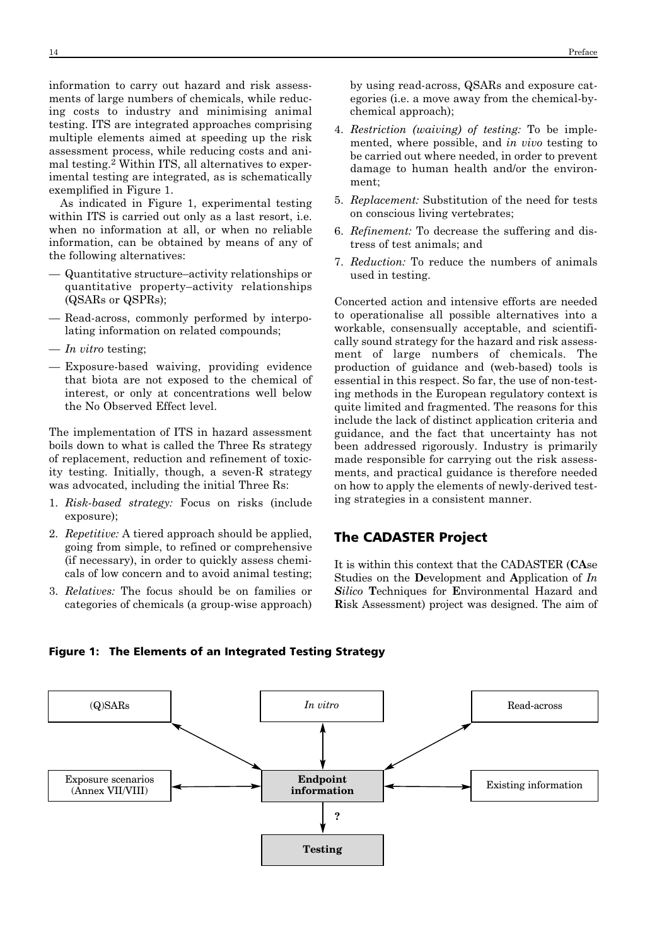information to carry out hazard and risk assessments of large numbers of chemicals, while reducing costs to industry and minimising animal testing. ITS are integrated approaches comprising multiple elements aimed at speeding up the risk assessment process, while reducing costs and animal testing.2 Within ITS, all alternatives to experimental testing are integrated, as is schematically exemplified in Figure 1.

As indicated in Figure 1, experimental testing within ITS is carried out only as a last resort, i.e. when no information at all, or when no reliable information, can be obtained by means of any of the following alternatives:

- Quantitative structure–activity relationships or quantitative property-activity relationships (QSARs or QSPRs);
- Read-across, commonly performed by interpolating information on related compounds;
- *In vitro* testing;
- Exposure-based waiving, providing evidence that biota are not exposed to the chemical of interest, or only at concentrations well below the No Observed Effect level.

The implementation of ITS in hazard assessment boils down to what is called the Three Rs strategy of replacement, reduction and refinement of toxicity testing. Initially, though, a seven-R strategy was advocated, including the initial Three Rs:

- 1. *Risk-based strategy:* Focus on risks (include exposure);
- 2. *Repetitive:* A tiered approach should be applied, going from simple, to refined or comprehensive (if necessary), in order to quickly assess chemicals of low concern and to avoid animal testing;
- 3. *Relatives:* The focus should be on families or categories of chemicals (a group-wise approach)

by using read-across, QSARs and exposure categories (i.e. a move away from the chemical-bychemical approach);

- 4. *Restriction (waiving) of testing:* To be implemented, where possible, and *in vivo* testing to be carried out where needed, in order to prevent damage to human health and/or the environment;
- 5. *Replacement:* Substitution of the need for tests on conscious living vertebrates;
- 6. *Refinement:* To decrease the suffering and distress of test animals; and
- 7. *Reduction:* To reduce the numbers of animals used in testing.

Concerted action and intensive efforts are needed to operationalise all possible alternatives into a workable, consensually acceptable, and scientifically sound strategy for the hazard and risk assessment of large numbers of chemicals. The production of guidance and (web-based) tools is essential in this respect. So far, the use of non-testing methods in the European regulatory context is quite limited and fragmented. The reasons for this include the lack of distinct application criteria and guidance, and the fact that uncertainty has not been addressed rigorously. Industry is primarily made responsible for carrying out the risk assessments, and practical guidance is therefore needed on how to apply the elements of newly-derived testing strategies in a consistent manner.

#### The CADASTER Project

It is within this context that the CADASTER (**CA**se Studies on the Development and Application of *In Silico* **T**echniques for **E**nvironmental Hazard and **R**isk Assessment) project was designed. The aim of



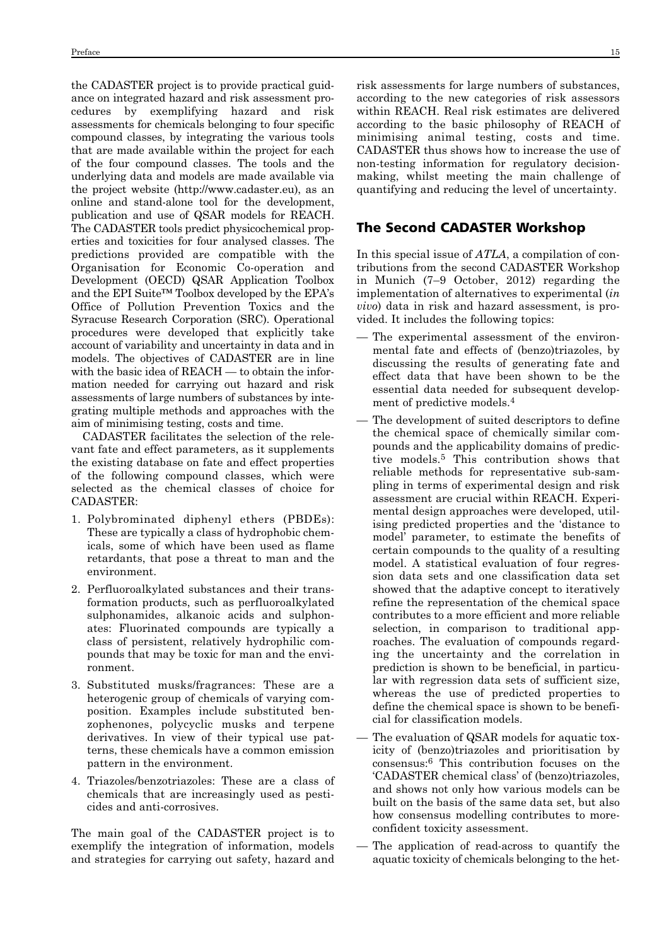the CADASTER project is to provide practical guidance on integrated hazard and risk assessment procedures by exemplifying hazard and risk assessments for chemicals belonging to four specific compound classes, by integrating the various tools that are made available within the project for each of the four compound classes. The tools and the underlying data and models are made available via the project website (http://www.cadaster.eu), as an online and stand-alone tool for the development, publication and use of QSAR models for REACH. The CADASTER tools predict physicochemical properties and toxicities for four analysed classes. The predictions provided are compatible with the Organisation for Economic Co-operation and Development (OECD) QSAR Application Toolbox and the EPI Suite™ Toolbox developed by the EPA's Office of Pollution Prevention Toxics and the Syracuse Research Corporation (SRC). Operational procedures were developed that explicitly take account of variability and uncertainty in data and in models. The objectives of CADASTER are in line with the basic idea of REACH — to obtain the information needed for carrying out hazard and risk assessments of large numbers of substances by integrating multiple methods and approaches with the aim of minimising testing, costs and time.

CADASTER facilitates the selection of the relevant fate and effect parameters, as it supplements the existing database on fate and effect properties of the following compound classes, which were selected as the chemical classes of choice for CADASTER:

- 1. Polybrominated diphenyl ethers (PBDEs): These are typically a class of hydrophobic chemicals, some of which have been used as flame retardants, that pose a threat to man and the environment.
- 2. Perfluoroalkylated substances and their transformation products, such as perfluoroalkylated sulphonamides, alkanoic acids and sulphonates: Fluorinated compounds are typically a class of persistent, relatively hydrophilic compounds that may be toxic for man and the environment.
- 3. Substituted musks/fragrances: These are a heterogenic group of chemicals of varying composition. Examples include substituted benzophenones, polycyclic musks and terpene derivatives. In view of their typical use patterns, these chemicals have a common emission pattern in the environment.
- 4. Triazoles/benzotriazoles: These are a class of chemicals that are increasingly used as pesticides and anti-corrosives.

The main goal of the CADASTER project is to exemplify the integration of information, models and strategies for carrying out safety, hazard and risk assessments for large numbers of substances, according to the new categories of risk assessors within REACH. Real risk estimates are delivered according to the basic philosophy of REACH of minimising animal testing, costs and time. CADASTER thus shows how to increase the use of non-testing information for regulatory decisionmaking, whilst meeting the main challenge of quantifying and reducing the level of uncertainty.

#### The Second CADASTER Workshop

In this special issue of *ATLA*, a compilation of contributions from the second CADASTER Workshop in Munich (7–9 October, 2012) regarding the implementation of alternatives to experimental (*in vivo*) data in risk and hazard assessment, is provided. It includes the following topics:

- The experimental assessment of the environmental fate and effects of (benzo)triazoles, by discussing the results of generating fate and effect data that have been shown to be the essential data needed for subsequent development of predictive models.4
- The development of suited descriptors to define the chemical space of chemically similar compounds and the applicability domains of predictive models.5 This contribution shows that reliable methods for representative sub-sampling in terms of experimental design and risk assessment are crucial within REACH. Experimental design approaches were developed, utilising predicted properties and the 'distance to model' parameter, to estimate the benefits of certain compounds to the quality of a resulting model. A statistical evaluation of four regression data sets and one classification data set showed that the adaptive concept to iteratively refine the representation of the chemical space contributes to a more efficient and more reliable selection, in comparison to traditional approaches. The evaluation of compounds regarding the uncertainty and the correlation in prediction is shown to be beneficial, in particular with regression data sets of sufficient size, whereas the use of predicted properties to define the chemical space is shown to be beneficial for classification models.
- The evaluation of QSAR models for aquatic toxicity of (benzo)triazoles and prioritisation by consensus:6 This contribution focuses on the 'CADASTER chemical class' of (benzo)triazoles, and shows not only how various models can be built on the basis of the same data set, but also how consensus modelling contributes to moreconfident toxicity assessment.
- The application of read-across to quantify the aquatic toxicity of chemicals belonging to the het-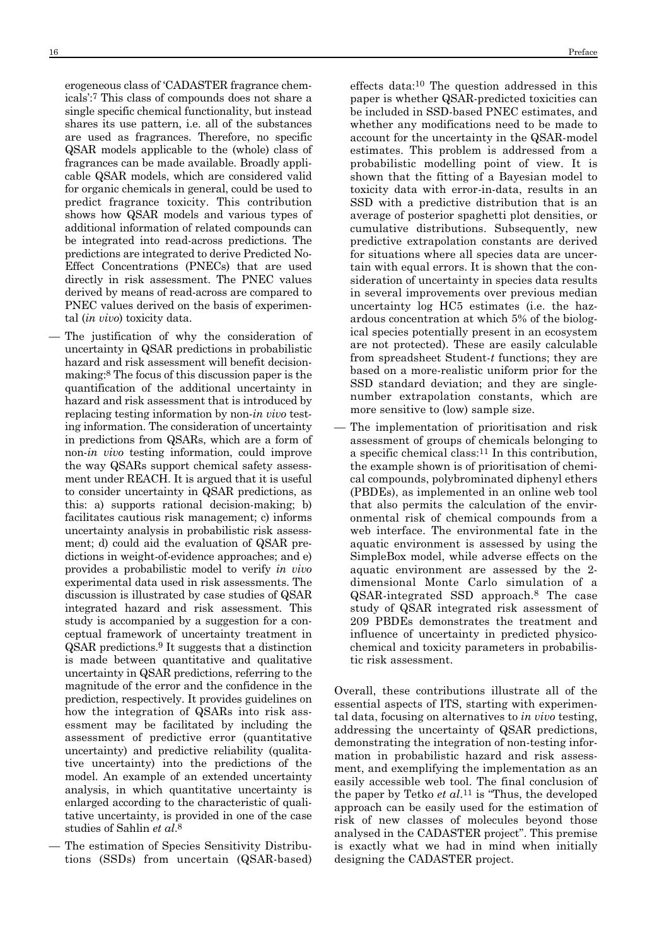erogeneous class of 'CADASTER fragrance chemicals':7 This class of compounds does not share a single specific chemical functionality, but instead shares its use pattern, i.e. all of the substances are used as fragrances. Therefore, no specific QSAR models applicable to the (whole) class of fragrances can be made available. Broadly applicable QSAR models, which are considered valid for organic chemicals in general, could be used to predict fragrance toxicity. This contribution shows how QSAR models and various types of additional information of related compounds can be integrated into read-across predictions. The predictions are integrated to derive Predicted No-Effect Concentrations (PNECs) that are used directly in risk assessment. The PNEC values derived by means of read-across are compared to PNEC values derived on the basis of experimental (*in vivo*) toxicity data.

- The justification of why the consideration of uncertainty in QSAR predictions in probabilistic hazard and risk assessment will benefit decisionmaking:8 The focus of this discussion paper is the quantification of the additional uncertainty in hazard and risk assessment that is introduced by replacing testing information by non-*in vivo* testing information. The consideration of uncertainty in predictions from QSARs, which are a form of non-*in vivo* testing information, could improve the way QSARs support chemical safety assessment under REACH. It is argued that it is useful to consider uncertainty in QSAR predictions, as this: a) supports rational decision-making; b) facilitates cautious risk management; c) informs uncertainty analysis in probabilistic risk assessment; d) could aid the evaluation of QSAR predictions in weight-of-evidence approaches; and e) provides a probabilistic model to verify *in vivo* experimental data used in risk assessments. The discussion is illustrated by case studies of QSAR integrated hazard and risk assessment. This study is accompanied by a suggestion for a conceptual framework of uncertainty treatment in QSAR predictions.9 It suggests that a distinction is made between quantitative and qualitative uncertainty in QSAR predictions, referring to the magnitude of the error and the confidence in the prediction, respectively. It provides guidelines on how the integration of QSARs into risk assessment may be facilitated by including the assessment of predictive error (quantitative uncertainty) and predictive reliability (qualitative uncertainty) into the predictions of the model. An example of an extended uncertainty analysis, in which quantitative uncertainty is enlarged according to the characteristic of qualitative uncertainty, is provided in one of the case studies of Sahlin *et al*.8
- The estimation of Species Sensitivity Distribu tions (SSDs) from uncertain (QSAR-based)

effects data:10 The question addressed in this paper is whether QSAR-predicted toxicities can be included in SSD-based PNEC estimates, and whether any modifications need to be made to account for the uncertainty in the QSAR-model estimates. This problem is addressed from a probabilistic modelling point of view. It is shown that the fitting of a Bayesian model to toxicity data with error-in-data, results in an SSD with a predictive distribution that is an average of posterior spaghetti plot densities, or cumulative distributions. Subsequently, new predictive extrapolation constants are derived for situations where all species data are uncertain with equal errors. It is shown that the consideration of uncertainty in species data results in several improvements over previous median uncertainty log HC5 estimates (i.e. the hazardous concentration at which 5% of the biological species potentially present in an ecosystem are not protected). These are easily calculable from spreadsheet Student-*t* functions; they are based on a more-realistic uniform prior for the SSD standard deviation; and they are singlenumber extrapolation constants, which are more sensitive to (low) sample size.

The implementation of prioritisation and risk assessment of groups of chemicals belonging to a specific chemical class:11 In this contribution, the example shown is of prioritisation of chemical compounds, polybrominated diphenyl ethers (PBDEs), as implemented in an online web tool that also permits the calculation of the envir onmental risk of chemical compounds from a web interface. The environmental fate in the aquatic environment is assessed by using the SimpleBox model, while adverse effects on the aquatic environment are assessed by the 2 dimensional Monte Carlo simulation of a QSAR-integrated SSD approach.8 The case study of QSAR integrated risk assessment of 209 PBDEs demonstrates the treatment and influence of uncertainty in predicted physicochemical and toxicity parameters in probabilistic risk assessment.

Overall, these contributions illustrate all of the essential aspects of ITS, starting with experimental data, focusing on alternatives to *in vivo* testing, addressing the uncertainty of QSAR predictions, demonstrating the integration of non-testing information in probabilistic hazard and risk assessment, and exemplifying the implementation as an easily accessible web tool. The final conclusion of the paper by Tetko *et al*.11 is "Thus, the developed approach can be easily used for the estimation of risk of new classes of molecules beyond those analysed in the CADASTER project". This premise is exactly what we had in mind when initially designing the CADASTER project.